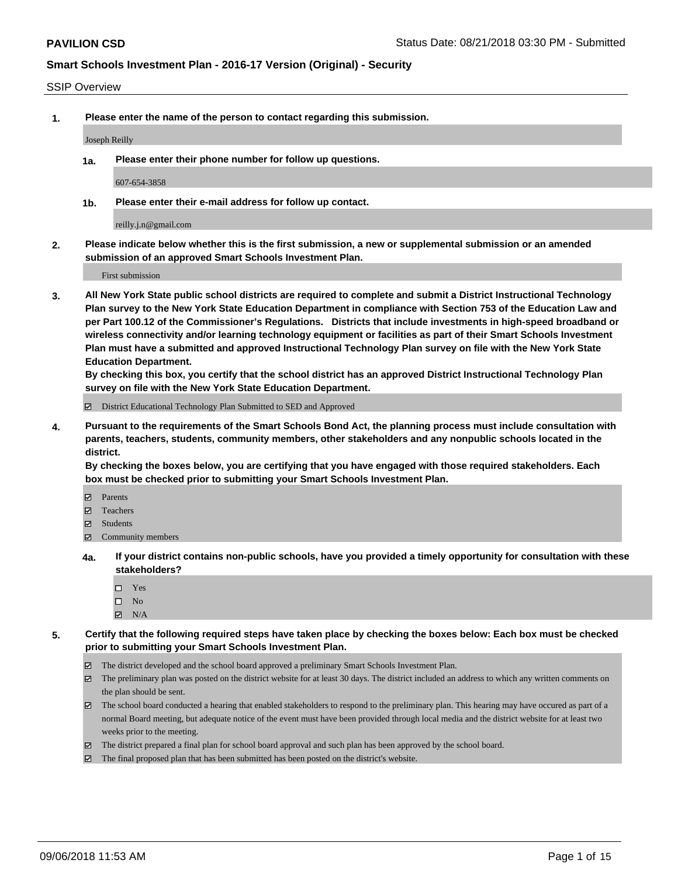#### SSIP Overview

**1. Please enter the name of the person to contact regarding this submission.**

Joseph Reilly

**1a. Please enter their phone number for follow up questions.**

607-654-3858

**1b. Please enter their e-mail address for follow up contact.**

reilly.j.n@gmail.com

**2. Please indicate below whether this is the first submission, a new or supplemental submission or an amended submission of an approved Smart Schools Investment Plan.**

First submission

**3. All New York State public school districts are required to complete and submit a District Instructional Technology Plan survey to the New York State Education Department in compliance with Section 753 of the Education Law and per Part 100.12 of the Commissioner's Regulations. Districts that include investments in high-speed broadband or wireless connectivity and/or learning technology equipment or facilities as part of their Smart Schools Investment Plan must have a submitted and approved Instructional Technology Plan survey on file with the New York State Education Department.** 

**By checking this box, you certify that the school district has an approved District Instructional Technology Plan survey on file with the New York State Education Department.**

District Educational Technology Plan Submitted to SED and Approved

**4. Pursuant to the requirements of the Smart Schools Bond Act, the planning process must include consultation with parents, teachers, students, community members, other stakeholders and any nonpublic schools located in the district.** 

**By checking the boxes below, you are certifying that you have engaged with those required stakeholders. Each box must be checked prior to submitting your Smart Schools Investment Plan.**

- **Parents**
- Teachers
- **☑** Students
- **☑** Community members
- **4a. If your district contains non-public schools, have you provided a timely opportunity for consultation with these stakeholders?**
	- □ Yes
	- $\square$  No
	- $\boxtimes$  N/A
- **5. Certify that the following required steps have taken place by checking the boxes below: Each box must be checked prior to submitting your Smart Schools Investment Plan.**
	- The district developed and the school board approved a preliminary Smart Schools Investment Plan.
	- $\boxtimes$  The preliminary plan was posted on the district website for at least 30 days. The district included an address to which any written comments on the plan should be sent.
	- The school board conducted a hearing that enabled stakeholders to respond to the preliminary plan. This hearing may have occured as part of a normal Board meeting, but adequate notice of the event must have been provided through local media and the district website for at least two weeks prior to the meeting.
	- The district prepared a final plan for school board approval and such plan has been approved by the school board.
	- The final proposed plan that has been submitted has been posted on the district's website.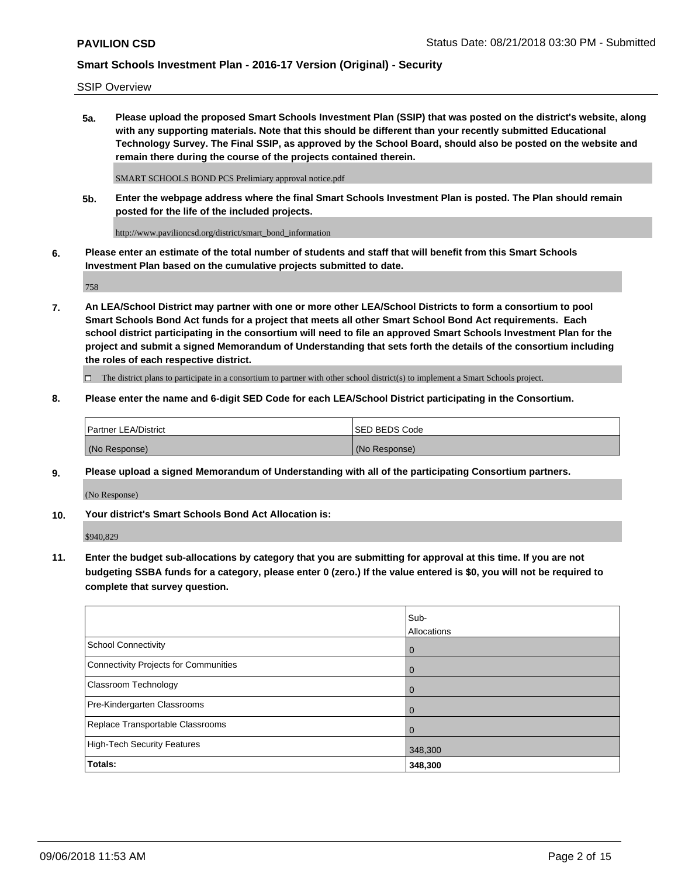SSIP Overview

**5a. Please upload the proposed Smart Schools Investment Plan (SSIP) that was posted on the district's website, along with any supporting materials. Note that this should be different than your recently submitted Educational Technology Survey. The Final SSIP, as approved by the School Board, should also be posted on the website and remain there during the course of the projects contained therein.**

SMART SCHOOLS BOND PCS Prelimiary approval notice.pdf

**5b. Enter the webpage address where the final Smart Schools Investment Plan is posted. The Plan should remain posted for the life of the included projects.**

http://www.pavilioncsd.org/district/smart\_bond\_information

**6. Please enter an estimate of the total number of students and staff that will benefit from this Smart Schools Investment Plan based on the cumulative projects submitted to date.**

758

**7. An LEA/School District may partner with one or more other LEA/School Districts to form a consortium to pool Smart Schools Bond Act funds for a project that meets all other Smart School Bond Act requirements. Each school district participating in the consortium will need to file an approved Smart Schools Investment Plan for the project and submit a signed Memorandum of Understanding that sets forth the details of the consortium including the roles of each respective district.**

 $\Box$  The district plans to participate in a consortium to partner with other school district(s) to implement a Smart Schools project.

#### **8. Please enter the name and 6-digit SED Code for each LEA/School District participating in the Consortium.**

| <b>Partner LEA/District</b> | <b>ISED BEDS Code</b> |
|-----------------------------|-----------------------|
| (No Response)               | (No Response)         |

#### **9. Please upload a signed Memorandum of Understanding with all of the participating Consortium partners.**

(No Response)

**10. Your district's Smart Schools Bond Act Allocation is:**

\$940,829

**11. Enter the budget sub-allocations by category that you are submitting for approval at this time. If you are not budgeting SSBA funds for a category, please enter 0 (zero.) If the value entered is \$0, you will not be required to complete that survey question.**

|                                       | Sub-<br>Allocations |
|---------------------------------------|---------------------|
| <b>School Connectivity</b>            | $\mathbf 0$         |
| Connectivity Projects for Communities | $\overline{0}$      |
| <b>Classroom Technology</b>           | 0                   |
| Pre-Kindergarten Classrooms           | 0                   |
| Replace Transportable Classrooms      | $\Omega$            |
| High-Tech Security Features           | 348,300             |
| Totals:                               | 348,300             |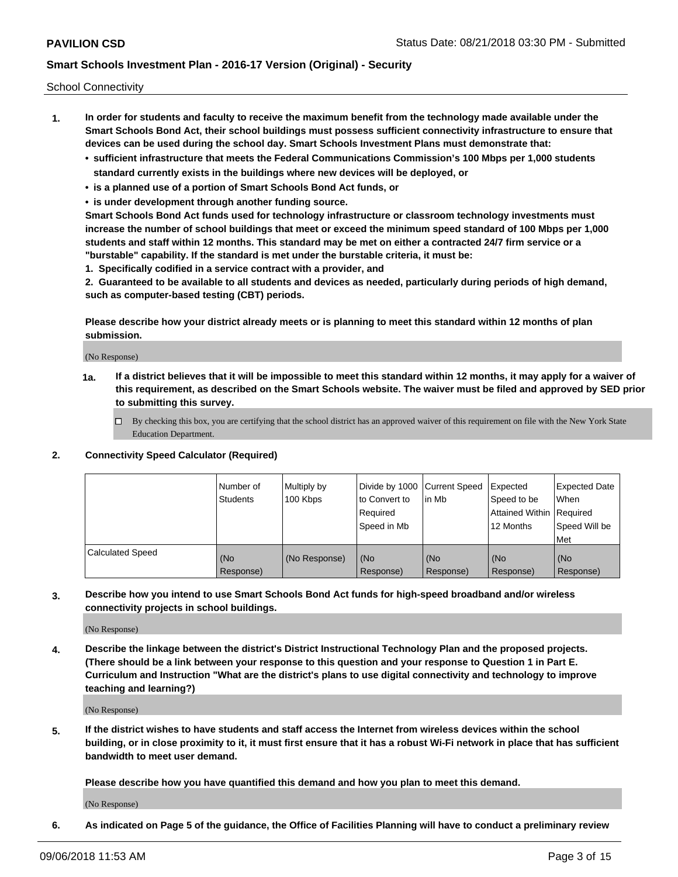School Connectivity

- **1. In order for students and faculty to receive the maximum benefit from the technology made available under the Smart Schools Bond Act, their school buildings must possess sufficient connectivity infrastructure to ensure that devices can be used during the school day. Smart Schools Investment Plans must demonstrate that:**
	- **• sufficient infrastructure that meets the Federal Communications Commission's 100 Mbps per 1,000 students standard currently exists in the buildings where new devices will be deployed, or**
	- **• is a planned use of a portion of Smart Schools Bond Act funds, or**
	- **• is under development through another funding source.**

**Smart Schools Bond Act funds used for technology infrastructure or classroom technology investments must increase the number of school buildings that meet or exceed the minimum speed standard of 100 Mbps per 1,000 students and staff within 12 months. This standard may be met on either a contracted 24/7 firm service or a "burstable" capability. If the standard is met under the burstable criteria, it must be:**

**1. Specifically codified in a service contract with a provider, and**

**2. Guaranteed to be available to all students and devices as needed, particularly during periods of high demand, such as computer-based testing (CBT) periods.**

**Please describe how your district already meets or is planning to meet this standard within 12 months of plan submission.**

(No Response)

**1a. If a district believes that it will be impossible to meet this standard within 12 months, it may apply for a waiver of this requirement, as described on the Smart Schools website. The waiver must be filed and approved by SED prior to submitting this survey.**

 $\Box$  By checking this box, you are certifying that the school district has an approved waiver of this requirement on file with the New York State Education Department.

#### **2. Connectivity Speed Calculator (Required)**

|                         | Number of<br>Students | Multiply by<br>100 Kbps | Divide by 1000 Current Speed<br>to Convert to<br>Required<br>Speed in Mb | lin Mb             | Expected<br>Speed to be<br>Attained Within   Required<br>12 Months | <b>Expected Date</b><br><b>When</b><br>Speed Will be<br>Met |
|-------------------------|-----------------------|-------------------------|--------------------------------------------------------------------------|--------------------|--------------------------------------------------------------------|-------------------------------------------------------------|
| <b>Calculated Speed</b> | (No<br>Response)      | (No Response)           | l (No<br>Response)                                                       | l (No<br>Response) | (No<br>Response)                                                   | (No<br>Response)                                            |

**3. Describe how you intend to use Smart Schools Bond Act funds for high-speed broadband and/or wireless connectivity projects in school buildings.**

(No Response)

**4. Describe the linkage between the district's District Instructional Technology Plan and the proposed projects. (There should be a link between your response to this question and your response to Question 1 in Part E. Curriculum and Instruction "What are the district's plans to use digital connectivity and technology to improve teaching and learning?)**

(No Response)

**5. If the district wishes to have students and staff access the Internet from wireless devices within the school building, or in close proximity to it, it must first ensure that it has a robust Wi-Fi network in place that has sufficient bandwidth to meet user demand.**

**Please describe how you have quantified this demand and how you plan to meet this demand.**

(No Response)

**6. As indicated on Page 5 of the guidance, the Office of Facilities Planning will have to conduct a preliminary review**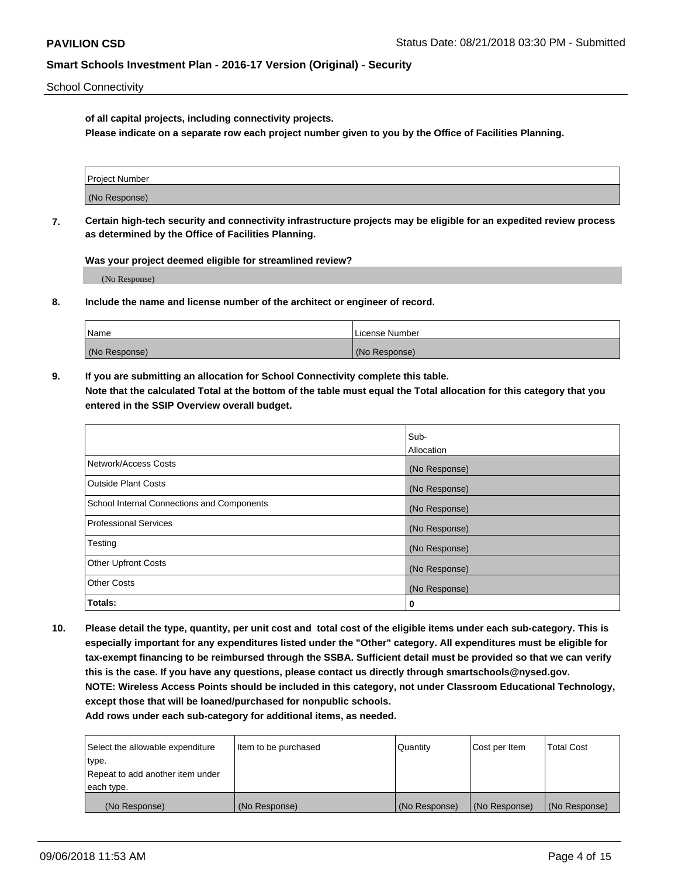School Connectivity

**of all capital projects, including connectivity projects.**

**Please indicate on a separate row each project number given to you by the Office of Facilities Planning.**

| Project Number |  |
|----------------|--|
|                |  |
| (No Response)  |  |
|                |  |

**7. Certain high-tech security and connectivity infrastructure projects may be eligible for an expedited review process as determined by the Office of Facilities Planning.**

**Was your project deemed eligible for streamlined review?**

(No Response)

**8. Include the name and license number of the architect or engineer of record.**

| Name          | License Number |
|---------------|----------------|
| (No Response) | (No Response)  |

**9. If you are submitting an allocation for School Connectivity complete this table. Note that the calculated Total at the bottom of the table must equal the Total allocation for this category that you entered in the SSIP Overview overall budget.** 

|                                            | Sub-              |
|--------------------------------------------|-------------------|
|                                            | <b>Allocation</b> |
| Network/Access Costs                       | (No Response)     |
| <b>Outside Plant Costs</b>                 | (No Response)     |
| School Internal Connections and Components | (No Response)     |
| <b>Professional Services</b>               | (No Response)     |
| Testing                                    | (No Response)     |
| <b>Other Upfront Costs</b>                 | (No Response)     |
| <b>Other Costs</b>                         | (No Response)     |
| Totals:                                    | 0                 |

**10. Please detail the type, quantity, per unit cost and total cost of the eligible items under each sub-category. This is especially important for any expenditures listed under the "Other" category. All expenditures must be eligible for tax-exempt financing to be reimbursed through the SSBA. Sufficient detail must be provided so that we can verify this is the case. If you have any questions, please contact us directly through smartschools@nysed.gov. NOTE: Wireless Access Points should be included in this category, not under Classroom Educational Technology, except those that will be loaned/purchased for nonpublic schools.**

| Select the allowable expenditure | Item to be purchased | Quantity      | Cost per Item | <b>Total Cost</b> |
|----------------------------------|----------------------|---------------|---------------|-------------------|
| type.                            |                      |               |               |                   |
| Repeat to add another item under |                      |               |               |                   |
| each type.                       |                      |               |               |                   |
| (No Response)                    | (No Response)        | (No Response) | (No Response) | (No Response)     |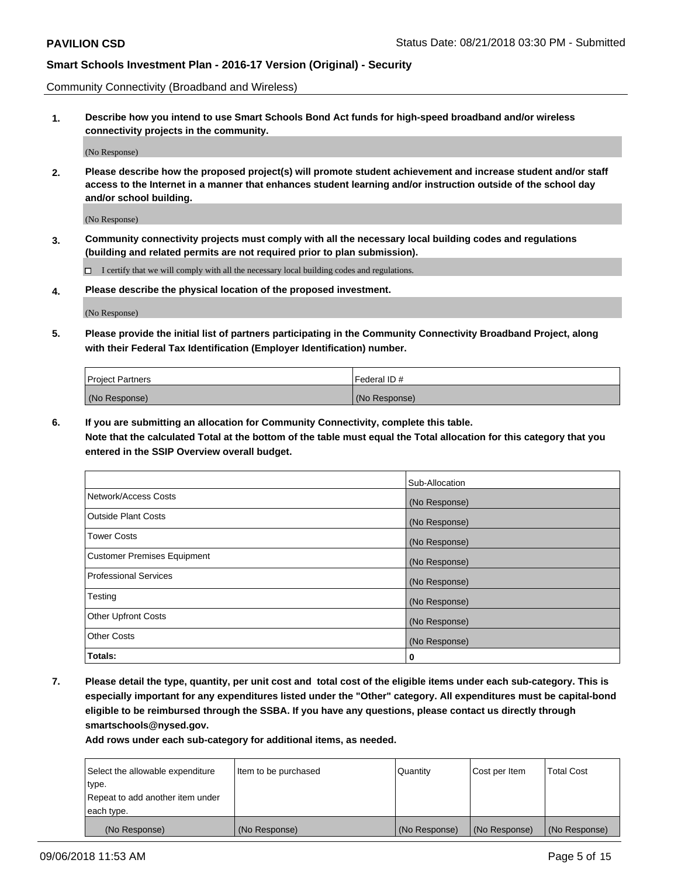Community Connectivity (Broadband and Wireless)

**1. Describe how you intend to use Smart Schools Bond Act funds for high-speed broadband and/or wireless connectivity projects in the community.**

(No Response)

**2. Please describe how the proposed project(s) will promote student achievement and increase student and/or staff access to the Internet in a manner that enhances student learning and/or instruction outside of the school day and/or school building.**

(No Response)

**3. Community connectivity projects must comply with all the necessary local building codes and regulations (building and related permits are not required prior to plan submission).**

 $\Box$  I certify that we will comply with all the necessary local building codes and regulations.

**4. Please describe the physical location of the proposed investment.**

(No Response)

**5. Please provide the initial list of partners participating in the Community Connectivity Broadband Project, along with their Federal Tax Identification (Employer Identification) number.**

| <b>Project Partners</b> | Federal ID#   |
|-------------------------|---------------|
| (No Response)           | (No Response) |

**6. If you are submitting an allocation for Community Connectivity, complete this table.**

**Note that the calculated Total at the bottom of the table must equal the Total allocation for this category that you entered in the SSIP Overview overall budget.**

|                                    | Sub-Allocation |
|------------------------------------|----------------|
| Network/Access Costs               | (No Response)  |
| <b>Outside Plant Costs</b>         | (No Response)  |
| <b>Tower Costs</b>                 | (No Response)  |
| <b>Customer Premises Equipment</b> | (No Response)  |
| <b>Professional Services</b>       | (No Response)  |
| Testing                            | (No Response)  |
| <b>Other Upfront Costs</b>         | (No Response)  |
| <b>Other Costs</b>                 | (No Response)  |
| Totals:                            | 0              |

**7. Please detail the type, quantity, per unit cost and total cost of the eligible items under each sub-category. This is especially important for any expenditures listed under the "Other" category. All expenditures must be capital-bond eligible to be reimbursed through the SSBA. If you have any questions, please contact us directly through smartschools@nysed.gov.**

| Select the allowable expenditure | Item to be purchased | Quantity      | Cost per Item | <b>Total Cost</b> |
|----------------------------------|----------------------|---------------|---------------|-------------------|
| type.                            |                      |               |               |                   |
| Repeat to add another item under |                      |               |               |                   |
| each type.                       |                      |               |               |                   |
| (No Response)                    | (No Response)        | (No Response) | (No Response) | (No Response)     |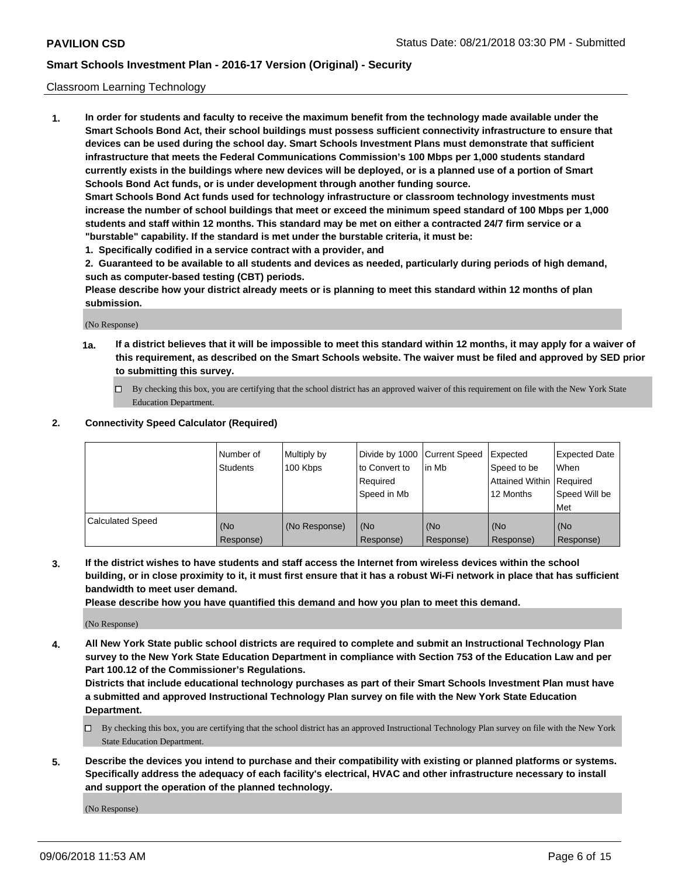#### Classroom Learning Technology

**1. In order for students and faculty to receive the maximum benefit from the technology made available under the Smart Schools Bond Act, their school buildings must possess sufficient connectivity infrastructure to ensure that devices can be used during the school day. Smart Schools Investment Plans must demonstrate that sufficient infrastructure that meets the Federal Communications Commission's 100 Mbps per 1,000 students standard currently exists in the buildings where new devices will be deployed, or is a planned use of a portion of Smart Schools Bond Act funds, or is under development through another funding source. Smart Schools Bond Act funds used for technology infrastructure or classroom technology investments must increase the number of school buildings that meet or exceed the minimum speed standard of 100 Mbps per 1,000 students and staff within 12 months. This standard may be met on either a contracted 24/7 firm service or a**

**"burstable" capability. If the standard is met under the burstable criteria, it must be:**

**1. Specifically codified in a service contract with a provider, and**

**2. Guaranteed to be available to all students and devices as needed, particularly during periods of high demand, such as computer-based testing (CBT) periods.**

**Please describe how your district already meets or is planning to meet this standard within 12 months of plan submission.**

(No Response)

- **1a. If a district believes that it will be impossible to meet this standard within 12 months, it may apply for a waiver of this requirement, as described on the Smart Schools website. The waiver must be filed and approved by SED prior to submitting this survey.**
	- By checking this box, you are certifying that the school district has an approved waiver of this requirement on file with the New York State Education Department.

#### **2. Connectivity Speed Calculator (Required)**

|                         | I Number of<br>Students | Multiply by<br>100 Kbps | to Convert to<br>Required<br>Speed in Mb | Divide by 1000 Current Speed Expected<br>lin Mb | Speed to be<br>Attained Within Required<br>12 Months | <b>Expected Date</b><br>When<br>Speed Will be<br>Met |
|-------------------------|-------------------------|-------------------------|------------------------------------------|-------------------------------------------------|------------------------------------------------------|------------------------------------------------------|
| <b>Calculated Speed</b> | (No<br>Response)        | (No Response)           | (No<br>Response)                         | (No<br>Response)                                | (No<br>Response)                                     | (No<br>Response)                                     |

**3. If the district wishes to have students and staff access the Internet from wireless devices within the school building, or in close proximity to it, it must first ensure that it has a robust Wi-Fi network in place that has sufficient bandwidth to meet user demand.**

**Please describe how you have quantified this demand and how you plan to meet this demand.**

(No Response)

**4. All New York State public school districts are required to complete and submit an Instructional Technology Plan survey to the New York State Education Department in compliance with Section 753 of the Education Law and per Part 100.12 of the Commissioner's Regulations.**

**Districts that include educational technology purchases as part of their Smart Schools Investment Plan must have a submitted and approved Instructional Technology Plan survey on file with the New York State Education Department.**

- $\Box$  By checking this box, you are certifying that the school district has an approved Instructional Technology Plan survey on file with the New York State Education Department.
- **5. Describe the devices you intend to purchase and their compatibility with existing or planned platforms or systems. Specifically address the adequacy of each facility's electrical, HVAC and other infrastructure necessary to install and support the operation of the planned technology.**

(No Response)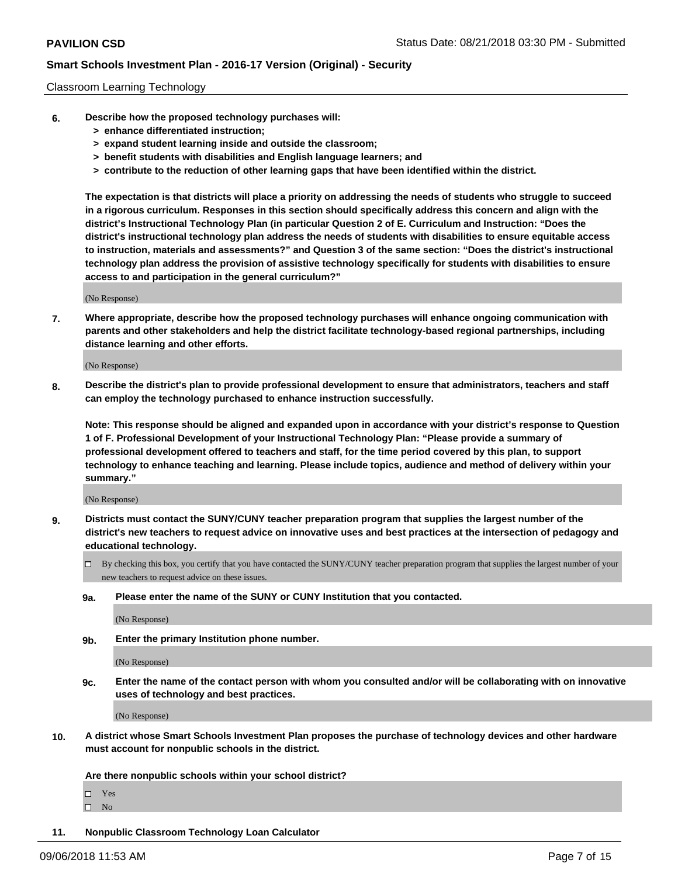#### Classroom Learning Technology

- **6. Describe how the proposed technology purchases will:**
	- **> enhance differentiated instruction;**
	- **> expand student learning inside and outside the classroom;**
	- **> benefit students with disabilities and English language learners; and**
	- **> contribute to the reduction of other learning gaps that have been identified within the district.**

**The expectation is that districts will place a priority on addressing the needs of students who struggle to succeed in a rigorous curriculum. Responses in this section should specifically address this concern and align with the district's Instructional Technology Plan (in particular Question 2 of E. Curriculum and Instruction: "Does the district's instructional technology plan address the needs of students with disabilities to ensure equitable access to instruction, materials and assessments?" and Question 3 of the same section: "Does the district's instructional technology plan address the provision of assistive technology specifically for students with disabilities to ensure access to and participation in the general curriculum?"**

(No Response)

**7. Where appropriate, describe how the proposed technology purchases will enhance ongoing communication with parents and other stakeholders and help the district facilitate technology-based regional partnerships, including distance learning and other efforts.**

(No Response)

**8. Describe the district's plan to provide professional development to ensure that administrators, teachers and staff can employ the technology purchased to enhance instruction successfully.**

**Note: This response should be aligned and expanded upon in accordance with your district's response to Question 1 of F. Professional Development of your Instructional Technology Plan: "Please provide a summary of professional development offered to teachers and staff, for the time period covered by this plan, to support technology to enhance teaching and learning. Please include topics, audience and method of delivery within your summary."**

(No Response)

- **9. Districts must contact the SUNY/CUNY teacher preparation program that supplies the largest number of the district's new teachers to request advice on innovative uses and best practices at the intersection of pedagogy and educational technology.**
	- By checking this box, you certify that you have contacted the SUNY/CUNY teacher preparation program that supplies the largest number of your new teachers to request advice on these issues.
	- **9a. Please enter the name of the SUNY or CUNY Institution that you contacted.**

(No Response)

**9b. Enter the primary Institution phone number.**

(No Response)

**9c. Enter the name of the contact person with whom you consulted and/or will be collaborating with on innovative uses of technology and best practices.**

(No Response)

**10. A district whose Smart Schools Investment Plan proposes the purchase of technology devices and other hardware must account for nonpublic schools in the district.**

**Are there nonpublic schools within your school district?**

Yes

 $\square$  No

**11. Nonpublic Classroom Technology Loan Calculator**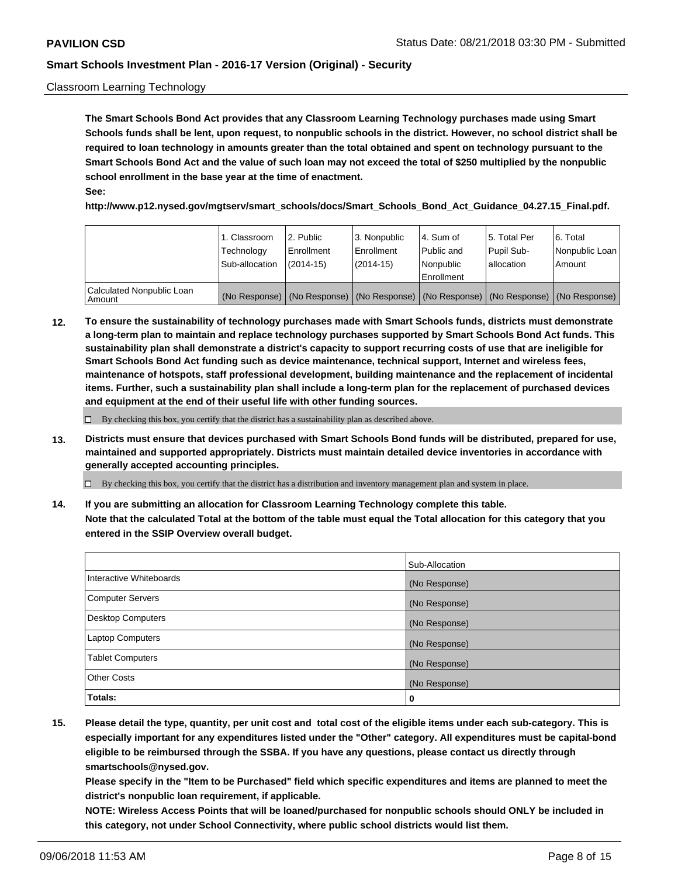#### Classroom Learning Technology

**The Smart Schools Bond Act provides that any Classroom Learning Technology purchases made using Smart Schools funds shall be lent, upon request, to nonpublic schools in the district. However, no school district shall be required to loan technology in amounts greater than the total obtained and spent on technology pursuant to the Smart Schools Bond Act and the value of such loan may not exceed the total of \$250 multiplied by the nonpublic school enrollment in the base year at the time of enactment. See:**

**http://www.p12.nysed.gov/mgtserv/smart\_schools/docs/Smart\_Schools\_Bond\_Act\_Guidance\_04.27.15\_Final.pdf.**

|                                       | 1. Classroom<br>Technology<br>Sub-allocation | 2. Public<br>l Enrollment<br>(2014-15) | l 3. Nonpublic<br>l Enrollment<br>$(2014 - 15)$ | l 4. Sum of<br>l Public and<br>l Nonpublic<br>Enrollment                                      | 15. Total Per<br>Pupil Sub-<br>l allocation | l 6. Total<br>Nonpublic Loan<br>Amount |
|---------------------------------------|----------------------------------------------|----------------------------------------|-------------------------------------------------|-----------------------------------------------------------------------------------------------|---------------------------------------------|----------------------------------------|
| Calculated Nonpublic Loan<br>l Amount |                                              |                                        |                                                 | (No Response)   (No Response)   (No Response)   (No Response)   (No Response)   (No Response) |                                             |                                        |

**12. To ensure the sustainability of technology purchases made with Smart Schools funds, districts must demonstrate a long-term plan to maintain and replace technology purchases supported by Smart Schools Bond Act funds. This sustainability plan shall demonstrate a district's capacity to support recurring costs of use that are ineligible for Smart Schools Bond Act funding such as device maintenance, technical support, Internet and wireless fees, maintenance of hotspots, staff professional development, building maintenance and the replacement of incidental items. Further, such a sustainability plan shall include a long-term plan for the replacement of purchased devices and equipment at the end of their useful life with other funding sources.**

 $\Box$  By checking this box, you certify that the district has a sustainability plan as described above.

**13. Districts must ensure that devices purchased with Smart Schools Bond funds will be distributed, prepared for use, maintained and supported appropriately. Districts must maintain detailed device inventories in accordance with generally accepted accounting principles.**

By checking this box, you certify that the district has a distribution and inventory management plan and system in place.

**14. If you are submitting an allocation for Classroom Learning Technology complete this table. Note that the calculated Total at the bottom of the table must equal the Total allocation for this category that you entered in the SSIP Overview overall budget.**

|                          | Sub-Allocation |
|--------------------------|----------------|
| Interactive Whiteboards  | (No Response)  |
| <b>Computer Servers</b>  | (No Response)  |
| <b>Desktop Computers</b> | (No Response)  |
| <b>Laptop Computers</b>  | (No Response)  |
| <b>Tablet Computers</b>  | (No Response)  |
| <b>Other Costs</b>       | (No Response)  |
| Totals:                  | 0              |

**15. Please detail the type, quantity, per unit cost and total cost of the eligible items under each sub-category. This is especially important for any expenditures listed under the "Other" category. All expenditures must be capital-bond eligible to be reimbursed through the SSBA. If you have any questions, please contact us directly through smartschools@nysed.gov.**

**Please specify in the "Item to be Purchased" field which specific expenditures and items are planned to meet the district's nonpublic loan requirement, if applicable.**

**NOTE: Wireless Access Points that will be loaned/purchased for nonpublic schools should ONLY be included in this category, not under School Connectivity, where public school districts would list them.**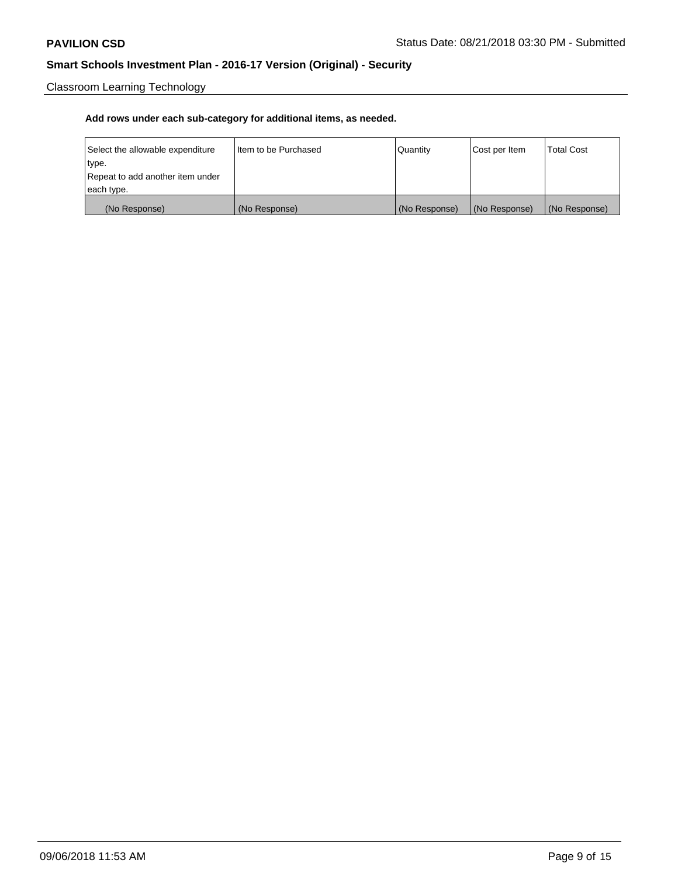Classroom Learning Technology

| Select the allowable expenditure | Iltem to be Purchased | Quantity      | Cost per Item | <b>Total Cost</b> |
|----------------------------------|-----------------------|---------------|---------------|-------------------|
| type.                            |                       |               |               |                   |
| Repeat to add another item under |                       |               |               |                   |
| each type.                       |                       |               |               |                   |
| (No Response)                    | (No Response)         | (No Response) | (No Response) | (No Response)     |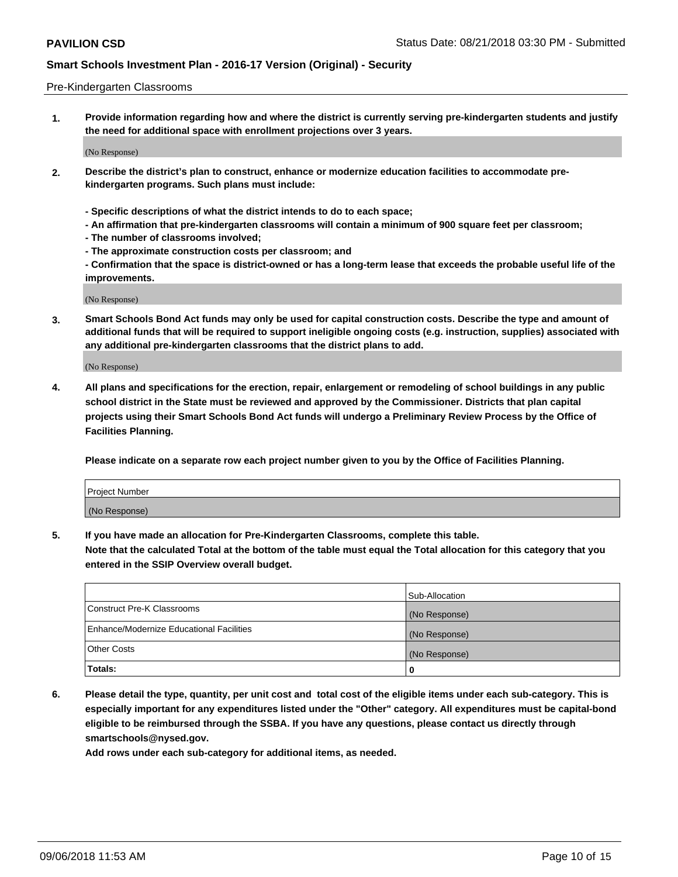#### Pre-Kindergarten Classrooms

**1. Provide information regarding how and where the district is currently serving pre-kindergarten students and justify the need for additional space with enrollment projections over 3 years.**

(No Response)

- **2. Describe the district's plan to construct, enhance or modernize education facilities to accommodate prekindergarten programs. Such plans must include:**
	- **Specific descriptions of what the district intends to do to each space;**
	- **An affirmation that pre-kindergarten classrooms will contain a minimum of 900 square feet per classroom;**
	- **The number of classrooms involved;**
	- **The approximate construction costs per classroom; and**
	- **Confirmation that the space is district-owned or has a long-term lease that exceeds the probable useful life of the improvements.**

(No Response)

**3. Smart Schools Bond Act funds may only be used for capital construction costs. Describe the type and amount of additional funds that will be required to support ineligible ongoing costs (e.g. instruction, supplies) associated with any additional pre-kindergarten classrooms that the district plans to add.**

(No Response)

**4. All plans and specifications for the erection, repair, enlargement or remodeling of school buildings in any public school district in the State must be reviewed and approved by the Commissioner. Districts that plan capital projects using their Smart Schools Bond Act funds will undergo a Preliminary Review Process by the Office of Facilities Planning.**

**Please indicate on a separate row each project number given to you by the Office of Facilities Planning.**

| Project Number |  |
|----------------|--|
| (No Response)  |  |
|                |  |

**5. If you have made an allocation for Pre-Kindergarten Classrooms, complete this table.**

**Note that the calculated Total at the bottom of the table must equal the Total allocation for this category that you entered in the SSIP Overview overall budget.**

|                                          | Sub-Allocation |
|------------------------------------------|----------------|
| Construct Pre-K Classrooms               | (No Response)  |
| Enhance/Modernize Educational Facilities | (No Response)  |
| <b>Other Costs</b>                       | (No Response)  |
| Totals:                                  | 0              |

**6. Please detail the type, quantity, per unit cost and total cost of the eligible items under each sub-category. This is especially important for any expenditures listed under the "Other" category. All expenditures must be capital-bond eligible to be reimbursed through the SSBA. If you have any questions, please contact us directly through smartschools@nysed.gov.**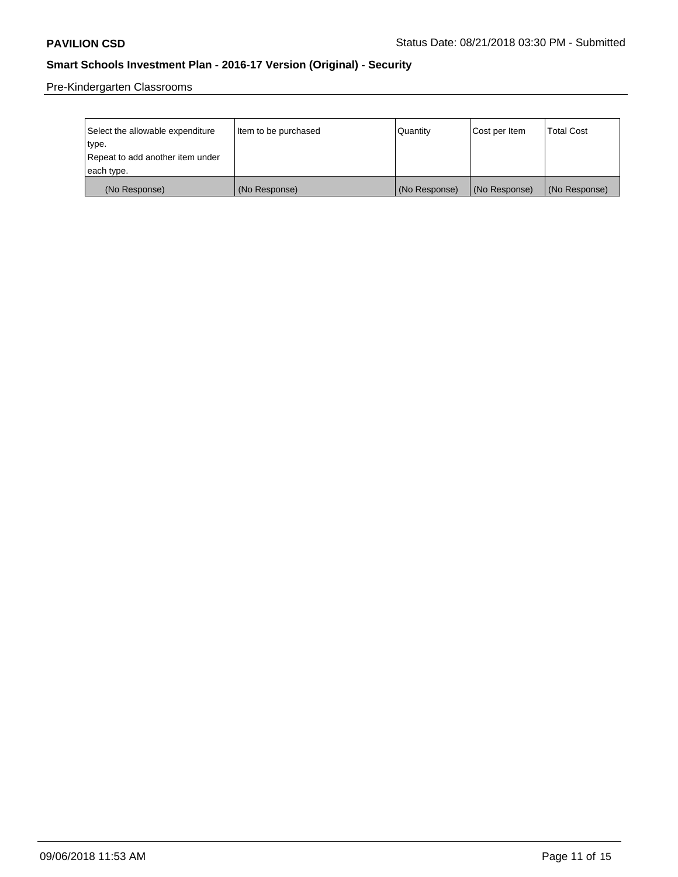Pre-Kindergarten Classrooms

| Select the allowable expenditure | Item to be purchased | Quantity      | Cost per Item | <b>Total Cost</b> |
|----------------------------------|----------------------|---------------|---------------|-------------------|
| type.                            |                      |               |               |                   |
| Repeat to add another item under |                      |               |               |                   |
| each type.                       |                      |               |               |                   |
| (No Response)                    | (No Response)        | (No Response) | (No Response) | (No Response)     |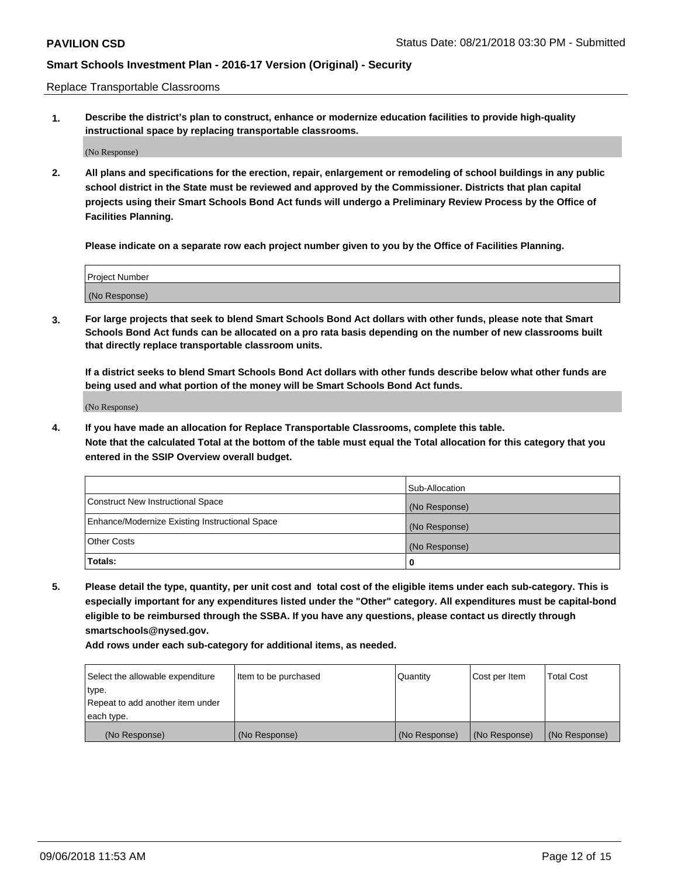Replace Transportable Classrooms

**1. Describe the district's plan to construct, enhance or modernize education facilities to provide high-quality instructional space by replacing transportable classrooms.**

(No Response)

**2. All plans and specifications for the erection, repair, enlargement or remodeling of school buildings in any public school district in the State must be reviewed and approved by the Commissioner. Districts that plan capital projects using their Smart Schools Bond Act funds will undergo a Preliminary Review Process by the Office of Facilities Planning.**

**Please indicate on a separate row each project number given to you by the Office of Facilities Planning.**

| Project Number |  |
|----------------|--|
|                |  |
|                |  |
|                |  |
|                |  |
| (No Response)  |  |
|                |  |
|                |  |
|                |  |

**3. For large projects that seek to blend Smart Schools Bond Act dollars with other funds, please note that Smart Schools Bond Act funds can be allocated on a pro rata basis depending on the number of new classrooms built that directly replace transportable classroom units.**

**If a district seeks to blend Smart Schools Bond Act dollars with other funds describe below what other funds are being used and what portion of the money will be Smart Schools Bond Act funds.**

(No Response)

**4. If you have made an allocation for Replace Transportable Classrooms, complete this table. Note that the calculated Total at the bottom of the table must equal the Total allocation for this category that you entered in the SSIP Overview overall budget.**

|                                                | Sub-Allocation |
|------------------------------------------------|----------------|
| Construct New Instructional Space              | (No Response)  |
| Enhance/Modernize Existing Instructional Space | (No Response)  |
| <b>Other Costs</b>                             | (No Response)  |
| Totals:                                        | 0              |

**5. Please detail the type, quantity, per unit cost and total cost of the eligible items under each sub-category. This is especially important for any expenditures listed under the "Other" category. All expenditures must be capital-bond eligible to be reimbursed through the SSBA. If you have any questions, please contact us directly through smartschools@nysed.gov.**

| Select the allowable expenditure | Item to be purchased | l Quantitv    | Cost per Item | <b>Total Cost</b> |
|----------------------------------|----------------------|---------------|---------------|-------------------|
| type.                            |                      |               |               |                   |
| Repeat to add another item under |                      |               |               |                   |
| each type.                       |                      |               |               |                   |
| (No Response)                    | (No Response)        | (No Response) | (No Response) | (No Response)     |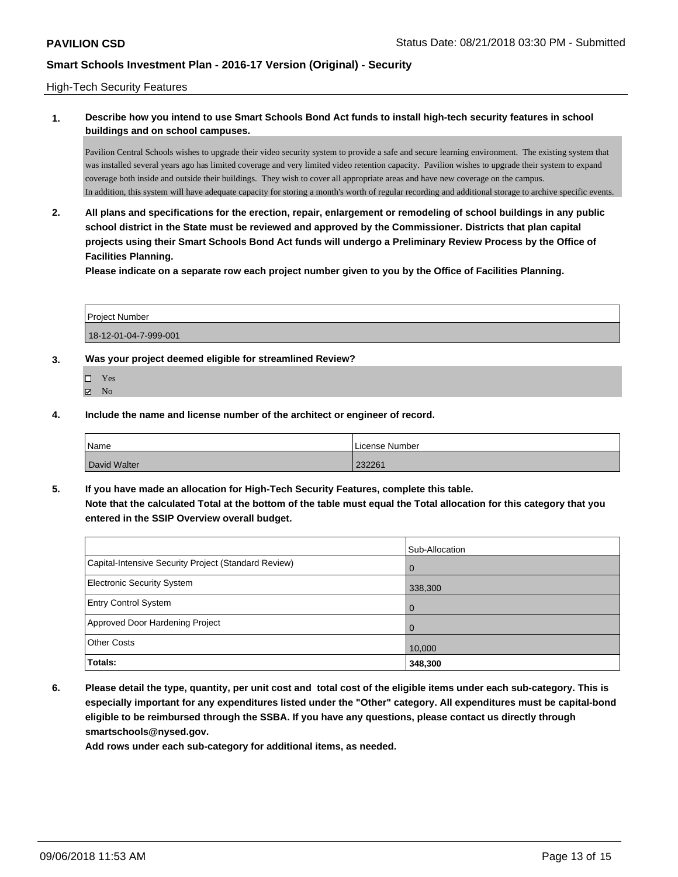#### High-Tech Security Features

### **1. Describe how you intend to use Smart Schools Bond Act funds to install high-tech security features in school buildings and on school campuses.**

Pavilion Central Schools wishes to upgrade their video security system to provide a safe and secure learning environment. The existing system that was installed several years ago has limited coverage and very limited video retention capacity. Pavilion wishes to upgrade their system to expand coverage both inside and outside their buildings. They wish to cover all appropriate areas and have new coverage on the campus. In addition, this system will have adequate capacity for storing a month's worth of regular recording and additional storage to archive specific events.

**2. All plans and specifications for the erection, repair, enlargement or remodeling of school buildings in any public school district in the State must be reviewed and approved by the Commissioner. Districts that plan capital projects using their Smart Schools Bond Act funds will undergo a Preliminary Review Process by the Office of Facilities Planning.** 

**Please indicate on a separate row each project number given to you by the Office of Facilities Planning.**

| <b>Project Number</b> |  |
|-----------------------|--|
| 18-12-01-04-7-999-001 |  |

- **3. Was your project deemed eligible for streamlined Review?**
	- Yes  $\boxtimes$  No
- **4. Include the name and license number of the architect or engineer of record.**

| <b>Name</b>  | l License Number |
|--------------|------------------|
| David Walter | 232261           |

**5. If you have made an allocation for High-Tech Security Features, complete this table. Note that the calculated Total at the bottom of the table must equal the Total allocation for this category that you entered in the SSIP Overview overall budget.**

|                                                      | Sub-Allocation |
|------------------------------------------------------|----------------|
| Capital-Intensive Security Project (Standard Review) | $\Omega$       |
| Electronic Security System                           | 338,300        |
| <b>Entry Control System</b>                          | $\Omega$       |
| Approved Door Hardening Project                      | $\Omega$       |
| <b>Other Costs</b>                                   | 10,000         |
| Totals:                                              | 348,300        |

**6. Please detail the type, quantity, per unit cost and total cost of the eligible items under each sub-category. This is especially important for any expenditures listed under the "Other" category. All expenditures must be capital-bond eligible to be reimbursed through the SSBA. If you have any questions, please contact us directly through smartschools@nysed.gov.**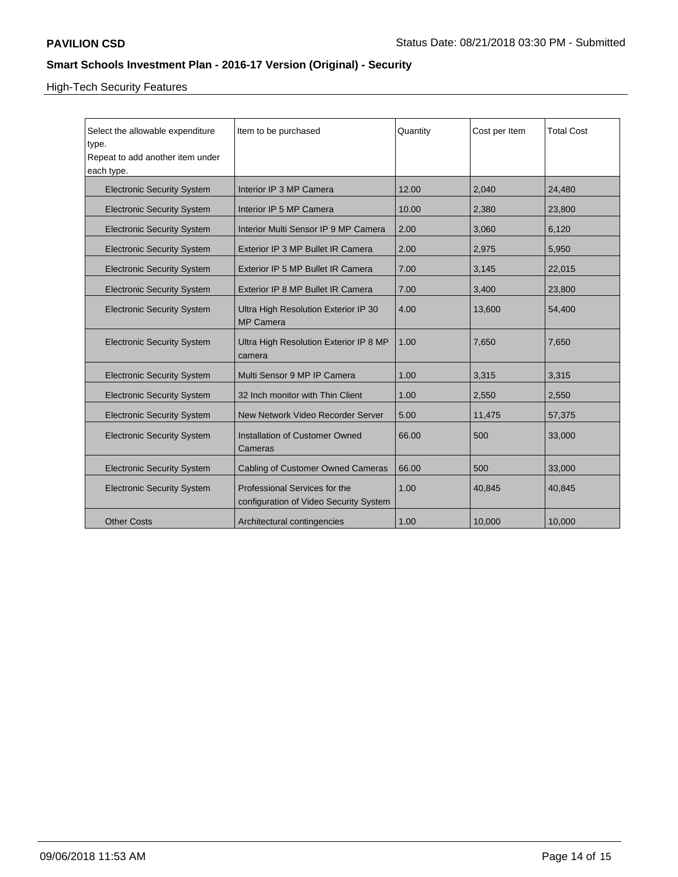# High-Tech Security Features

| Select the allowable expenditure          | Item to be purchased                     | Quantity | Cost per Item | <b>Total Cost</b> |
|-------------------------------------------|------------------------------------------|----------|---------------|-------------------|
| type.<br>Repeat to add another item under |                                          |          |               |                   |
| each type.                                |                                          |          |               |                   |
|                                           |                                          |          |               |                   |
| <b>Electronic Security System</b>         | Interior IP 3 MP Camera                  | 12.00    | 2,040         | 24,480            |
| <b>Electronic Security System</b>         | Interior IP 5 MP Camera                  | 10.00    | 2,380         | 23,800            |
| <b>Electronic Security System</b>         | Interior Multi Sensor IP 9 MP Camera     | 2.00     | 3.060         | 6,120             |
| <b>Electronic Security System</b>         | Exterior IP 3 MP Bullet IR Camera        | 2.00     | 2,975         | 5,950             |
| <b>Electronic Security System</b>         | Exterior IP 5 MP Bullet IR Camera        | 7.00     | 3,145         | 22,015            |
| <b>Electronic Security System</b>         | Exterior IP 8 MP Bullet IR Camera        | 7.00     | 3,400         | 23,800            |
| <b>Electronic Security System</b>         | Ultra High Resolution Exterior IP 30     | 4.00     | 13,600        | 54,400            |
|                                           | <b>MP Camera</b>                         |          |               |                   |
| <b>Electronic Security System</b>         | Ultra High Resolution Exterior IP 8 MP   | 1.00     | 7,650         | 7,650             |
|                                           | camera                                   |          |               |                   |
| <b>Electronic Security System</b>         | Multi Sensor 9 MP IP Camera              | 1.00     | 3,315         | 3,315             |
| <b>Electronic Security System</b>         | 32 Inch monitor with Thin Client         | 1.00     | 2,550         | 2,550             |
| <b>Electronic Security System</b>         | New Network Video Recorder Server        | 5.00     | 11,475        | 57,375            |
| <b>Electronic Security System</b>         | Installation of Customer Owned           | 66.00    | 500           | 33,000            |
|                                           | Cameras                                  |          |               |                   |
| <b>Electronic Security System</b>         | <b>Cabling of Customer Owned Cameras</b> | 66.00    | 500           | 33,000            |
| <b>Electronic Security System</b>         | Professional Services for the            | 1.00     | 40,845        | 40.845            |
|                                           | configuration of Video Security System   |          |               |                   |
| <b>Other Costs</b>                        | Architectural contingencies              | 1.00     | 10,000        | 10,000            |